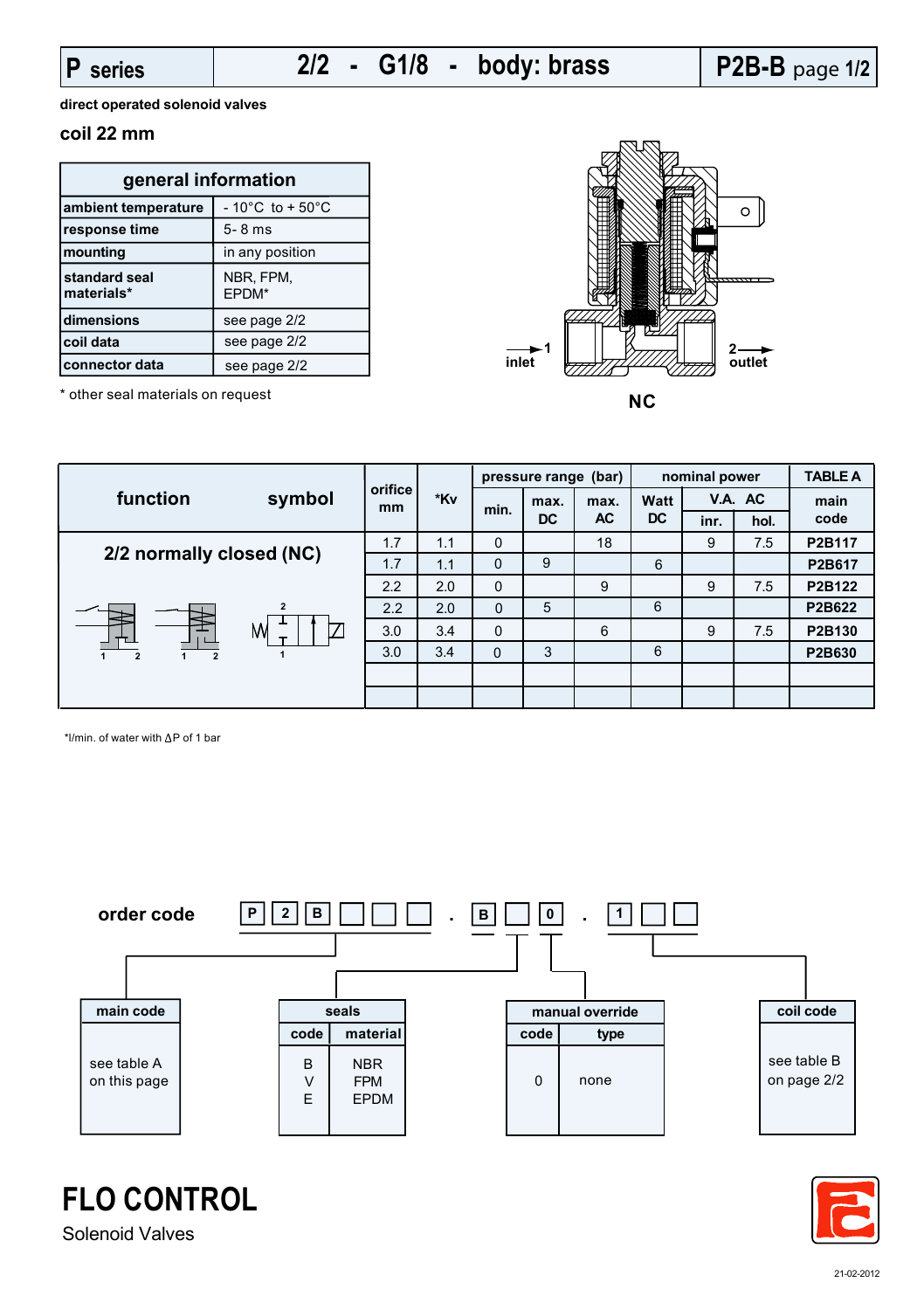**direct operated solenoid valves**

## **coil 22 mm**

| general information                |                                      |  |  |  |
|------------------------------------|--------------------------------------|--|--|--|
| ambient temperature                | $-10^{\circ}$ C to + 50 $^{\circ}$ C |  |  |  |
| response time                      | $5 - 8$ ms                           |  |  |  |
| mounting                           | in any position                      |  |  |  |
| <b>standard seal</b><br>materials* | NBR, FPM,<br>EPDM*                   |  |  |  |
| dimensions                         | see page 2/2                         |  |  |  |
| coil data                          | see page 2/2                         |  |  |  |
| connector data                     | see page 2/2                         |  |  |  |



| function                                                     |        |               | *Kv          | (bar)<br>pressure range |                   | nominal power     |                          | <b>TABLE A</b> |        |        |
|--------------------------------------------------------------|--------|---------------|--------------|-------------------------|-------------------|-------------------|--------------------------|----------------|--------|--------|
|                                                              | symbol | orifice<br>mm |              | min.                    | max.<br><b>DC</b> | max.<br><b>AC</b> | <b>Watt</b><br><b>DC</b> | V.A. AC        |        | main   |
|                                                              |        |               |              |                         |                   |                   |                          | inr.           | hol.   | code   |
|                                                              |        | 1.7           | 1.1          | 0                       |                   | 18                |                          | 9              | 7.5    | P2B117 |
| 2/2 normally closed (NC)                                     | 1.7    | 1.1           | $\mathbf{0}$ | 9                       |                   | 6                 |                          |                | P2B617 |        |
| $\overline{2}$<br>M<br>Τ<br>$\overline{2}$<br>$\overline{2}$ | 2.2    | 2.0           | $\Omega$     |                         | 9                 |                   | 9                        | 7.5            | P2B122 |        |
|                                                              | 2.2    | 2.0           | $\mathbf 0$  | 5                       |                   | 6                 |                          |                | P2B622 |        |
|                                                              | 3.0    | 3.4           | 0            |                         | 6                 |                   | 9                        | 7.5            | P2B130 |        |
|                                                              | 3.0    | 3.4           | 0            | 3                       |                   | 6                 |                          |                | P2B630 |        |
|                                                              |        |               |              |                         |                   |                   |                          |                |        |        |
|                                                              |        |               |              |                         |                   |                   |                          |                |        |        |

\*l/min. of water with  $\Delta P$  of 1 bar





**FLO CONTROL** Solenoid Valves